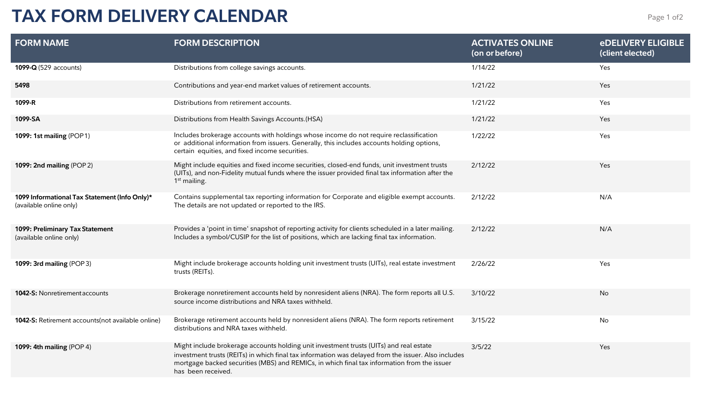## **TAX FORM DELIVERY CALENDAR** Page 1 of 2

| <b>FORM NAME</b>                                                         | <b>FORM DESCRIPTION</b>                                                                                                                                                                                                                                                                                            | <b>ACTIVATES ONLINE</b><br>(on or before) | <b>eDELIVERY ELIGIBLE</b><br>(client elected) |
|--------------------------------------------------------------------------|--------------------------------------------------------------------------------------------------------------------------------------------------------------------------------------------------------------------------------------------------------------------------------------------------------------------|-------------------------------------------|-----------------------------------------------|
| 1099-Q (529 accounts)                                                    | Distributions from college savings accounts.                                                                                                                                                                                                                                                                       | 1/14/22                                   | Yes                                           |
| 5498                                                                     | Contributions and year-end market values of retirement accounts.                                                                                                                                                                                                                                                   | 1/21/22                                   | Yes                                           |
| 1099-R                                                                   | Distributions from retirement accounts.                                                                                                                                                                                                                                                                            | 1/21/22                                   | Yes                                           |
| 1099-SA                                                                  | Distributions from Health Savings Accounts.(HSA)                                                                                                                                                                                                                                                                   | 1/21/22                                   | Yes                                           |
| 1099: 1st mailing (POP1)                                                 | Includes brokerage accounts with holdings whose income do not require reclassification<br>or additional information from issuers. Generally, this includes accounts holding options,<br>certain equities, and fixed income securities.                                                                             | 1/22/22                                   | Yes                                           |
| 1099: 2nd mailing (POP 2)                                                | Might include equities and fixed income securities, closed-end funds, unit investment trusts<br>(UITs), and non-Fidelity mutual funds where the issuer provided final tax information after the<br>1 <sup>st</sup> mailing.                                                                                        | 2/12/22                                   | Yes                                           |
| 1099 Informational Tax Statement (Info Only)*<br>(available online only) | Contains supplemental tax reporting information for Corporate and eligible exempt accounts.<br>The details are not updated or reported to the IRS.                                                                                                                                                                 | 2/12/22                                   | N/A                                           |
| 1099: Preliminary Tax Statement<br>(available online only)               | Provides a 'point in time' snapshot of reporting activity for clients scheduled in a later mailing.<br>Includes a symbol/CUSIP for the list of positions, which are lacking final tax information.                                                                                                                 | 2/12/22                                   | N/A                                           |
| 1099: 3rd mailing (POP3)                                                 | Might include brokerage accounts holding unit investment trusts (UITs), real estate investment<br>trusts (REITs).                                                                                                                                                                                                  | 2/26/22                                   | Yes                                           |
| 1042-S: Nonretirement accounts                                           | Brokerage nonretirement accounts held by nonresident aliens (NRA). The form reports all U.S.<br>source income distributions and NRA taxes withheld.                                                                                                                                                                | 3/10/22                                   | No                                            |
| 1042-S: Retirement accounts(not available online)                        | Brokerage retirement accounts held by nonresident aliens (NRA). The form reports retirement<br>distributions and NRA taxes withheld.                                                                                                                                                                               | 3/15/22                                   | No                                            |
| 1099: 4th mailing (POP 4)                                                | Might include brokerage accounts holding unit investment trusts (UITs) and real estate<br>investment trusts (REITs) in which final tax information was delayed from the issuer. Also includes<br>mortgage backed securities (MBS) and REMICs, in which final tax information from the issuer<br>has been received. | 3/5/22                                    | Yes                                           |